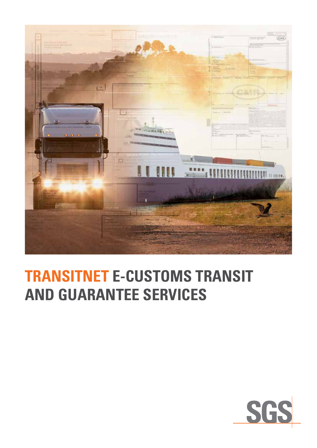

## **TRANSITNET E-CUSTOMS TRANSIT AND GUARANTEE SERVICES**

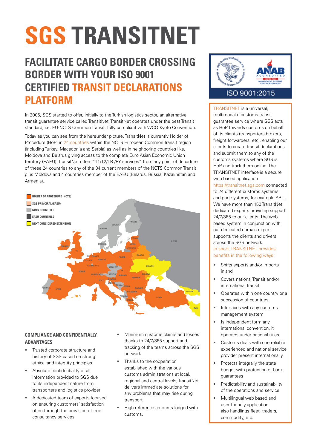# **SGS TRANSITNET**

### **FACILITATE CARGO BORDER CROSSING BORDER WITH YOUR ISO 9001 CERTIFIED TRANSIT DECLARATIONS PLATFORM**

In 2006, SGS started to offer, initially to the Turkish logistics sector, an alternative transit guarantee service called TransitNet. TransitNet operates under the best Transit standard, i.e. EU-NCTS Common Transit, fully compliant with WCO Kyoto Convention.

Today as you can see from the hereunder picture, TransitNet is currently Holder of Procedure (HoP) in 24 countries within the NCTS European Common Transit region (including Turkey, Macedonia and Serbia) as well as in neighboring countries like, Moldova and Belarus giving access to the complete Euro Asian Economic Union territory (EAEU). TransitNet offers "T1/T2/TR /BY services" from any point of departure of these 24 countries to any of the 34 current members of the NCTS Common Transit plus Moldova and 4 countries member of the EAEU (Belarus, Russia, Kazakhstan and Armenia)..



#### **COMPLIANCE AND CONFIDENTIALLY ADVANTAGES**

- Trusted corporate structure and history of SGS based on strong ethical and integrity principles **MOROCCO**
- Absolute confidentiality of all information provided to SGS due to its independent nature from transporters and logistics provider
- A dedicated team of experts focused on ensuring customers' satisfaction often through the provision of free consultancy services
- Minimum customs claims and losses thanks to 24/7/365 support and tracking of the teams across the SGS network
- Thanks to the cooperation established with the various customs administrations at local, regional and central levels, TransitNet delivers immediate solutions for any problems that may rise during transport.
- High reference amounts lodged with customs.



#### ISO 9001:2015

TRANSITNET is a universal, multimodal e-customs transit guarantee service where SGS acts as HoP towards customs on behalf of its clients (transporters brokers, freight forwarders, etc), enabling our clients to create transit declarations and submit them to any of the customs systems where SGS is HoP and track them online. The TRANSITNET interface is a secure web based application

<https://transitnet.sgs.com> connected to 24 different customs systems and port systems, for example AP+. We have more than 150 TransitNet dedicated experts providing support 24/7/365 to our clients. The web based system in conjunction with our dedicated domain expert supports the clients and drivers across the SGS network. In short, TRANSITNET provides benefits in the following ways:

- Shifts exports and/or imports inland
- Covers national Transit and/or international Transit
- Operates within one country or a succession of countries
- Interfaces with any customs **MOLDOVA** management system
- Is independent form any international convention, it operates under national rules **BULGARIA**
	- Customs deals with one reliable experienced and national service provider present internationally

Georgia

**GEORGIA**

- Protects integrally the state budget with protection of bank guarantees
- Predictability and sustainability of the operations and service
- Multilingual web based and user friendly application also handlings fleet, traders, commodity, etc.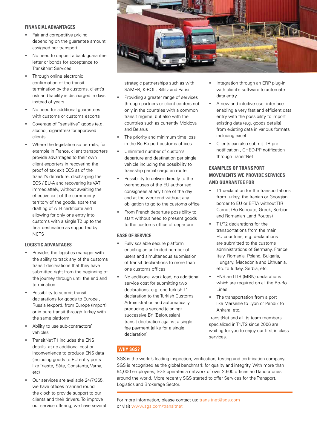#### **FINANCIAL ADVANTAGES**

- Fair and competitive pricing depending on the guarantee amount assigned per transport
- No need to deposit a bank guarantee letter or bonds for acceptance to TransitNet Services
- Through online electronic confirmation of the transit termination by the customs, client's risk and liability is discharged in days instead of years.
- No need for additional guarantees with customs or customs escorts
- Coverage of "sensitive" goods (e.g. alcohol, cigarettes) for approved clients
- Where the legislation so permits, for example in France, client transporters provide advantages to their own client exporters in recovering the proof of tax exit ECS as of the transit's departure, discharging the ECS / EU-A and recovering its VAT immediattely, without awaiting the effective exit of the community territory of the goods, spare the drafting of ATR certificate and allowing for only one entry into customs with a single T2 up to the final destination as supported by **NCTS**

#### **LOGISTIC ADVANTAGES**

- Provides the logistics manager with the ability to track any of the customs transit declarations that they have submitted right from the beginning of the journey through until the end and termination
- Possibility to submit transit declarations for goods to Europe , Russia (export), from Europe (import) or in pure transit through Turkey with the same platform
- Ability to use sub-contractors' vehicles
- TransitNet T1 includes the ENS details, at no additional cost or inconvenience to produce ENS data (including goods to EU entry ports like Trieste, Sète, Constanta, Varna, etc)
- Our services are available 24/7/365, we have offices manned round the clock to provide support to our clients and their drivers. To improve our service offering, we have several



strategic partnerships such as with SAMER, K-ROL, Billitz and Parisi

- Providing a greater range of services through partners or client centers not only in the countries with a common transit regime, but also with the countries such as currently Moldova and Belarus
- The priority and minimum time loss in the Ro-Ro port customs offices
- Unlimited number of customs departure and destination per single vehicle including the possibility to transship partial cargo en route
- Possibility to deliver directly to the warehouses of the EU authorized consignees at any time of the day and at the weekend without any obligation to go to the customs office
- From French departure possibility to start without need to present goods to the customs office of departure

#### **EASE OF SERVICE**

- Fully scalable secure platform enabling an unlimited number of users and simultaneous submission of transit declarations to more than one customs offices
- No additional work load, no additional service cost for submitting two declarations, e.g. one Turkish T1 declaration to the Turkish Customs Administration and automatically producing a second (cloning) successive BY (Belorussian) transit declaration against a single fee payment (alike for a single declaration)
- Integration through an ERP plug-in with client's software to automate data entry.
- A new and intuitive user interface enabling a very fast and efficient data entry with the possibility to import existing data (e.g. goods details) from existing data in various formats including excel
- Clients can also submit TIR prenotification , CHED-PP notification through TransitNet

#### **EXAMPLES OF TRANSPORT MOVEMENTS WE PROVIDE SERVICES AND GUARANTEE FOR**

- T1 declaration for the transportations from Turkey, the Iranian or Georgian border to EU or EFTA without TIR Carnet (Ro-Ro route, Greek, Serbian and Romanian Land Routes)
- T1/T2 declarations for the transportations from the main EU countries, e.g. declarations are submitted to the customs administrations of Germany, France, Italy, Romania, Poland, Bulgaria, Hungary, Macedonia and Lithuania, etc. to Turkey, Serbia, etc.
- ENS and TIR (MRN) declarations which are required on all the Ro-Ro Lines
- The transportation from a port like Marseille to Lyon or Pendik to Ankara, etc.

TransitNet and all its team members specialized in T1/T2 since 2006 are waiting for you to enjoy our first in class services.

#### **WHY SGS?**

SGS is the world's leading inspection, verification, testing and certification company. SGS is recognized as the global benchmark for quality and integrity. With more than 94,000 employees, SGS operates a network of over 2,600 offices and laboratories around the world. More recently SGS started to offer Services for the Transport, Logistics and Brokerage Sector.

For more information, please contact us: [transitnet@sgs.com](mailto:transitnet%40sgs.com?subject=) or visit [www.sgs.com/transitnet](http://www.sgs.com/transitnet)